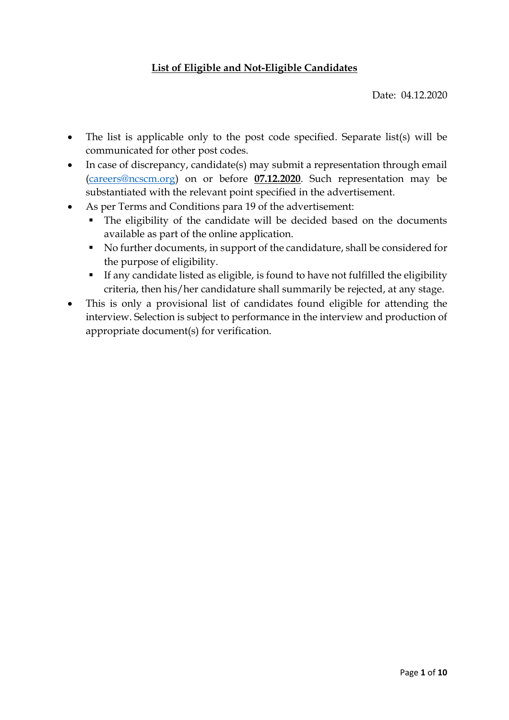#### **List of Eligible and Not-Eligible Candidates**

Date: 04.12.2020

- The list is applicable only to the post code specified. Separate list(s) will be communicated for other post codes.
- In case of discrepancy, candidate(s) may submit a representation through email [\(careers@ncscm.org\)](mailto:careers@ncscm.org) on or before **07.12.2020**. Such representation may be substantiated with the relevant point specified in the advertisement.
- As per Terms and Conditions para 19 of the advertisement:
	- The eligibility of the candidate will be decided based on the documents available as part of the online application.
	- No further documents, in support of the candidature, shall be considered for the purpose of eligibility.
	- If any candidate listed as eligible, is found to have not fulfilled the eligibility criteria, then his/her candidature shall summarily be rejected, at any stage.
- This is only a provisional list of candidates found eligible for attending the interview. Selection is subject to performance in the interview and production of appropriate document(s) for verification.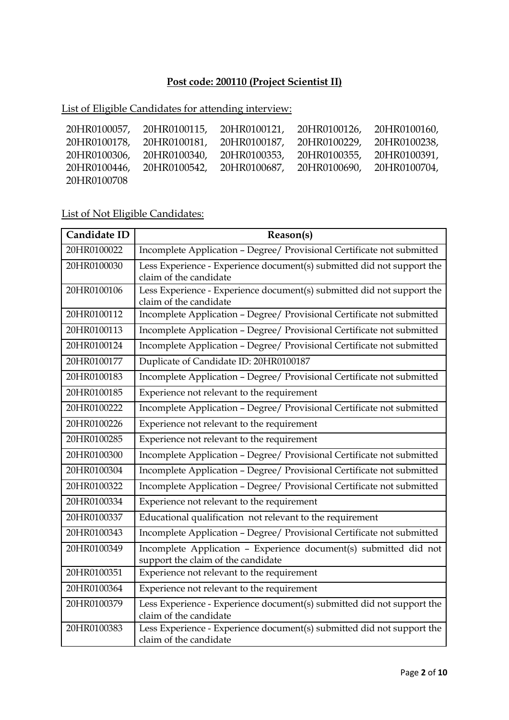## **Post code: 200110 (Project Scientist II)**

## List of Eligible Candidates for attending interview:

| 20HR0100057, | 20HR0100115, | 20HR0100121, | 20HR0100126,              | 20HR0100160, |
|--------------|--------------|--------------|---------------------------|--------------|
| 20HR0100178, | 20HR0100181, | 20HR0100187, | 20HR0100229,              | 20HR0100238, |
| 20HR0100306, | 20HR0100340, | 20HR0100353, | 20HR0100355,              | 20HR0100391, |
| 20HR0100446, | 20HR0100542, |              | 20HR0100687, 20HR0100690, | 20HR0100704, |
| 20HR0100708  |              |              |                           |              |

| Candidate ID | Reason(s)                                                                                               |
|--------------|---------------------------------------------------------------------------------------------------------|
| 20HR0100022  | Incomplete Application - Degree/ Provisional Certificate not submitted                                  |
| 20HR0100030  | Less Experience - Experience document(s) submitted did not support the<br>claim of the candidate        |
| 20HR0100106  | Less Experience - Experience document(s) submitted did not support the<br>claim of the candidate        |
| 20HR0100112  | Incomplete Application - Degree/ Provisional Certificate not submitted                                  |
| 20HR0100113  | Incomplete Application - Degree/ Provisional Certificate not submitted                                  |
| 20HR0100124  | Incomplete Application - Degree/ Provisional Certificate not submitted                                  |
| 20HR0100177  | Duplicate of Candidate ID: 20HR0100187                                                                  |
| 20HR0100183  | Incomplete Application - Degree/ Provisional Certificate not submitted                                  |
| 20HR0100185  | Experience not relevant to the requirement                                                              |
| 20HR0100222  | Incomplete Application - Degree/ Provisional Certificate not submitted                                  |
| 20HR0100226  | Experience not relevant to the requirement                                                              |
| 20HR0100285  | Experience not relevant to the requirement                                                              |
| 20HR0100300  | Incomplete Application - Degree/ Provisional Certificate not submitted                                  |
| 20HR0100304  | Incomplete Application - Degree/ Provisional Certificate not submitted                                  |
| 20HR0100322  | Incomplete Application - Degree/ Provisional Certificate not submitted                                  |
| 20HR0100334  | Experience not relevant to the requirement                                                              |
| 20HR0100337  | Educational qualification not relevant to the requirement                                               |
| 20HR0100343  | Incomplete Application - Degree/ Provisional Certificate not submitted                                  |
| 20HR0100349  | Incomplete Application - Experience document(s) submitted did not<br>support the claim of the candidate |
| 20HR0100351  | Experience not relevant to the requirement                                                              |
| 20HR0100364  | Experience not relevant to the requirement                                                              |
| 20HR0100379  | Less Experience - Experience document(s) submitted did not support the<br>claim of the candidate        |
| 20HR0100383  | Less Experience - Experience document(s) submitted did not support the<br>claim of the candidate        |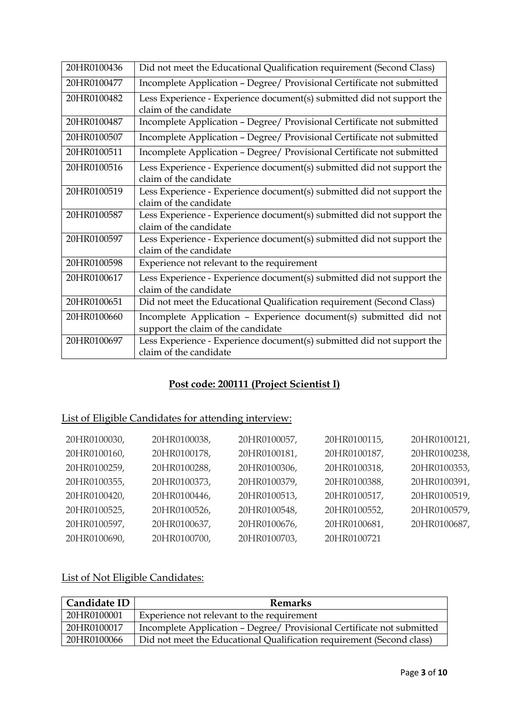| 20HR0100436 | Did not meet the Educational Qualification requirement (Second Class)                                   |
|-------------|---------------------------------------------------------------------------------------------------------|
| 20HR0100477 | Incomplete Application - Degree/ Provisional Certificate not submitted                                  |
| 20HR0100482 | Less Experience - Experience document(s) submitted did not support the<br>claim of the candidate        |
| 20HR0100487 | Incomplete Application - Degree/ Provisional Certificate not submitted                                  |
| 20HR0100507 | Incomplete Application - Degree/ Provisional Certificate not submitted                                  |
| 20HR0100511 | Incomplete Application - Degree/ Provisional Certificate not submitted                                  |
| 20HR0100516 | Less Experience - Experience document(s) submitted did not support the<br>claim of the candidate        |
| 20HR0100519 | Less Experience - Experience document(s) submitted did not support the<br>claim of the candidate        |
| 20HR0100587 | Less Experience - Experience document(s) submitted did not support the<br>claim of the candidate        |
| 20HR0100597 | Less Experience - Experience document(s) submitted did not support the<br>claim of the candidate        |
| 20HR0100598 | Experience not relevant to the requirement                                                              |
| 20HR0100617 | Less Experience - Experience document(s) submitted did not support the<br>claim of the candidate        |
| 20HR0100651 | Did not meet the Educational Qualification requirement (Second Class)                                   |
| 20HR0100660 | Incomplete Application - Experience document(s) submitted did not<br>support the claim of the candidate |
| 20HR0100697 | Less Experience - Experience document(s) submitted did not support the<br>claim of the candidate        |

## **Post code: 200111 (Project Scientist I)**

## List of Eligible Candidates for attending interview:

| 20HR0100030, | 20HR0100038, | 20HR0100057, | 20HR0100115, | 20HR0100121, |
|--------------|--------------|--------------|--------------|--------------|
| 20HR0100160, | 20HR0100178, | 20HR0100181, | 20HR0100187, | 20HR0100238, |
| 20HR0100259, | 20HR0100288, | 20HR0100306, | 20HR0100318, | 20HR0100353, |
| 20HR0100355, | 20HR0100373, | 20HR0100379, | 20HR0100388, | 20HR0100391, |
| 20HR0100420, | 20HR0100446, | 20HR0100513, | 20HR0100517, | 20HR0100519, |
| 20HR0100525, | 20HR0100526, | 20HR0100548, | 20HR0100552, | 20HR0100579, |
| 20HR0100597, | 20HR0100637, | 20HR0100676, | 20HR0100681, | 20HR0100687, |
| 20HR0100690, | 20HR0100700, | 20HR0100703, | 20HR0100721  |              |

| Candidate ID | <b>Remarks</b>                                                         |
|--------------|------------------------------------------------------------------------|
| 20HR0100001  | Experience not relevant to the requirement                             |
| 20HR0100017  | Incomplete Application - Degree/ Provisional Certificate not submitted |
| 20HR0100066  | Did not meet the Educational Qualification requirement (Second class)  |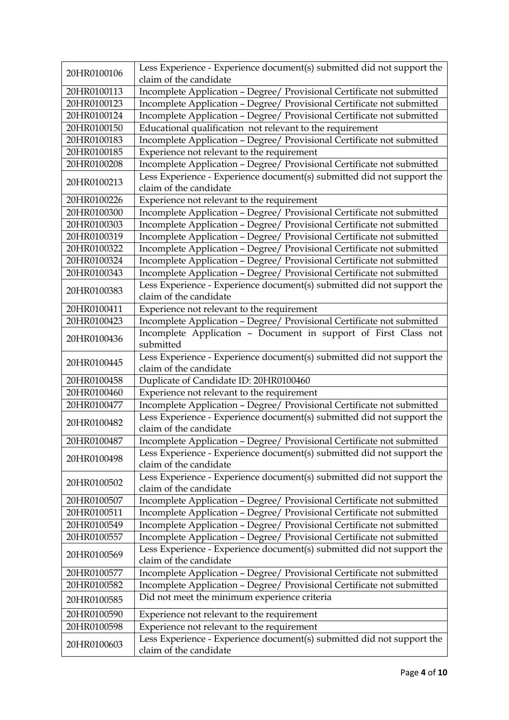| 20HR0100106 | Less Experience - Experience document(s) submitted did not support the<br>claim of the candidate |
|-------------|--------------------------------------------------------------------------------------------------|
| 20HR0100113 | Incomplete Application - Degree/ Provisional Certificate not submitted                           |
| 20HR0100123 | Incomplete Application - Degree/ Provisional Certificate not submitted                           |
| 20HR0100124 | Incomplete Application - Degree/ Provisional Certificate not submitted                           |
| 20HR0100150 | Educational qualification not relevant to the requirement                                        |
|             |                                                                                                  |
| 20HR0100183 | Incomplete Application - Degree/ Provisional Certificate not submitted                           |
| 20HR0100185 | Experience not relevant to the requirement                                                       |
| 20HR0100208 | Incomplete Application - Degree/ Provisional Certificate not submitted                           |
| 20HR0100213 | Less Experience - Experience document(s) submitted did not support the<br>claim of the candidate |
| 20HR0100226 | Experience not relevant to the requirement                                                       |
| 20HR0100300 | Incomplete Application - Degree/ Provisional Certificate not submitted                           |
| 20HR0100303 | Incomplete Application - Degree/ Provisional Certificate not submitted                           |
| 20HR0100319 | Incomplete Application - Degree/ Provisional Certificate not submitted                           |
| 20HR0100322 | Incomplete Application - Degree/ Provisional Certificate not submitted                           |
| 20HR0100324 | Incomplete Application - Degree/ Provisional Certificate not submitted                           |
| 20HR0100343 | Incomplete Application - Degree/ Provisional Certificate not submitted                           |
| 20HR0100383 | Less Experience - Experience document(s) submitted did not support the<br>claim of the candidate |
| 20HR0100411 | Experience not relevant to the requirement                                                       |
| 20HR0100423 | Incomplete Application - Degree/ Provisional Certificate not submitted                           |
| 20HR0100436 | Incomplete Application - Document in support of First Class not<br>submitted                     |
| 20HR0100445 | Less Experience - Experience document(s) submitted did not support the<br>claim of the candidate |
| 20HR0100458 | Duplicate of Candidate ID: 20HR0100460                                                           |
| 20HR0100460 | Experience not relevant to the requirement                                                       |
| 20HR0100477 | Incomplete Application - Degree/ Provisional Certificate not submitted                           |
| 20HR0100482 | Less Experience - Experience document(s) submitted did not support the<br>claim of the candidate |
| 20HR0100487 | Incomplete Application - Degree/ Provisional Certificate not submitted                           |
| 20HR0100498 | Less Experience - Experience document(s) submitted did not support the<br>claim of the candidate |
|             | Less Experience - Experience document(s) submitted did not support the                           |
| 20HR0100502 | claim of the candidate                                                                           |
| 20HR0100507 | Incomplete Application - Degree/ Provisional Certificate not submitted                           |
| 20HR0100511 | Incomplete Application - Degree/ Provisional Certificate not submitted                           |
| 20HR0100549 | Incomplete Application - Degree/ Provisional Certificate not submitted                           |
| 20HR0100557 | Incomplete Application - Degree/ Provisional Certificate not submitted                           |
| 20HR0100569 | Less Experience - Experience document(s) submitted did not support the<br>claim of the candidate |
| 20HR0100577 | Incomplete Application - Degree/ Provisional Certificate not submitted                           |
| 20HR0100582 | Incomplete Application - Degree/ Provisional Certificate not submitted                           |
| 20HR0100585 | Did not meet the minimum experience criteria                                                     |
| 20HR0100590 | Experience not relevant to the requirement                                                       |
| 20HR0100598 | Experience not relevant to the requirement                                                       |
|             | Less Experience - Experience document(s) submitted did not support the                           |
| 20HR0100603 | claim of the candidate                                                                           |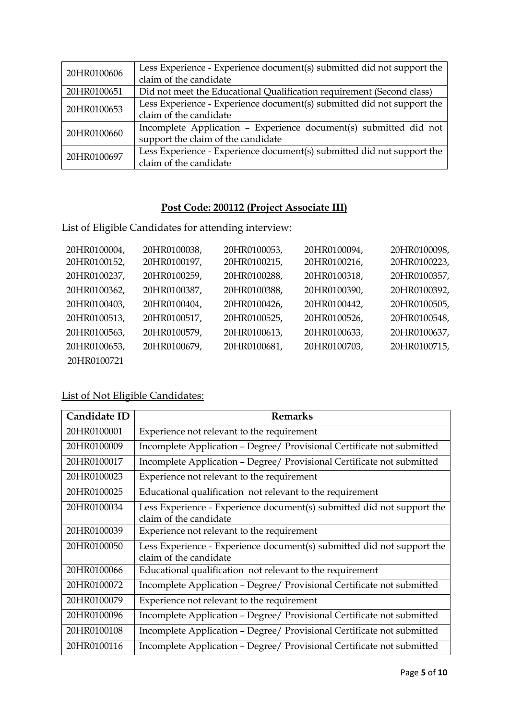| 20HR0100606 | Less Experience - Experience document(s) submitted did not support the |
|-------------|------------------------------------------------------------------------|
|             | claim of the candidate                                                 |
| 20HR0100651 | Did not meet the Educational Qualification requirement (Second class)  |
| 20HR0100653 | Less Experience - Experience document(s) submitted did not support the |
|             | claim of the candidate                                                 |
| 20HR0100660 | Incomplete Application - Experience document(s) submitted did not      |
|             | support the claim of the candidate                                     |
| 20HR0100697 | Less Experience - Experience document(s) submitted did not support the |
|             | claim of the candidate                                                 |

## **Post Code: 200112 (Project Associate III)**

### List of Eligible Candidates for attending interview:

| 20HR0100004, | 20HR0100038, | 20HR0100053, | 20HR0100094, | 20HR0100098, |
|--------------|--------------|--------------|--------------|--------------|
| 20HR0100152, | 20HR0100197, | 20HR0100215, | 20HR0100216, | 20HR0100223, |
| 20HR0100237, | 20HR0100259, | 20HR0100288, | 20HR0100318, | 20HR0100357, |
| 20HR0100362, | 20HR0100387, | 20HR0100388, | 20HR0100390, | 20HR0100392, |
| 20HR0100403, | 20HR0100404, | 20HR0100426, | 20HR0100442, | 20HR0100505, |
| 20HR0100513, | 20HR0100517, | 20HR0100525, | 20HR0100526, | 20HR0100548, |
| 20HR0100563, | 20HR0100579, | 20HR0100613, | 20HR0100633, | 20HR0100637, |
| 20HR0100653, | 20HR0100679, | 20HR0100681, | 20HR0100703, | 20HR0100715, |
| 20HR0100721  |              |              |              |              |

| Candidate ID | <b>Remarks</b>                                                                                   |
|--------------|--------------------------------------------------------------------------------------------------|
| 20HR0100001  | Experience not relevant to the requirement                                                       |
| 20HR0100009  | Incomplete Application - Degree/ Provisional Certificate not submitted                           |
| 20HR0100017  | Incomplete Application - Degree/ Provisional Certificate not submitted                           |
| 20HR0100023  | Experience not relevant to the requirement                                                       |
| 20HR0100025  | Educational qualification not relevant to the requirement                                        |
| 20HR0100034  | Less Experience - Experience document(s) submitted did not support the<br>claim of the candidate |
| 20HR0100039  | Experience not relevant to the requirement                                                       |
| 20HR0100050  | Less Experience - Experience document(s) submitted did not support the<br>claim of the candidate |
| 20HR0100066  | Educational qualification not relevant to the requirement                                        |
| 20HR0100072  | Incomplete Application - Degree/ Provisional Certificate not submitted                           |
| 20HR0100079  | Experience not relevant to the requirement                                                       |
| 20HR0100096  | Incomplete Application - Degree/ Provisional Certificate not submitted                           |
| 20HR0100108  | Incomplete Application - Degree/ Provisional Certificate not submitted                           |
| 20HR0100116  | Incomplete Application - Degree/ Provisional Certificate not submitted                           |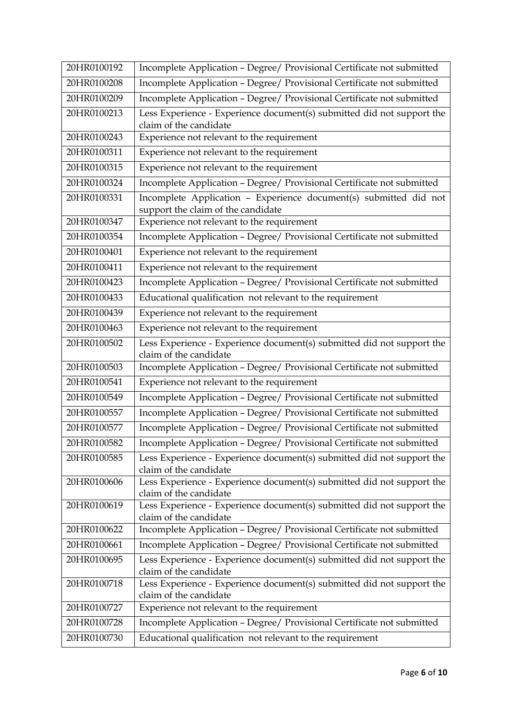| 20HR0100192 | Incomplete Application - Degree/ Provisional Certificate not submitted                                  |
|-------------|---------------------------------------------------------------------------------------------------------|
| 20HR0100208 | Incomplete Application - Degree/ Provisional Certificate not submitted                                  |
| 20HR0100209 | Incomplete Application - Degree/ Provisional Certificate not submitted                                  |
| 20HR0100213 | Less Experience - Experience document(s) submitted did not support the<br>claim of the candidate        |
| 20HR0100243 | Experience not relevant to the requirement                                                              |
| 20HR0100311 | Experience not relevant to the requirement                                                              |
| 20HR0100315 | Experience not relevant to the requirement                                                              |
| 20HR0100324 | Incomplete Application - Degree/ Provisional Certificate not submitted                                  |
| 20HR0100331 | Incomplete Application - Experience document(s) submitted did not<br>support the claim of the candidate |
| 20HR0100347 | Experience not relevant to the requirement                                                              |
| 20HR0100354 | Incomplete Application - Degree/ Provisional Certificate not submitted                                  |
| 20HR0100401 | Experience not relevant to the requirement                                                              |
| 20HR0100411 | Experience not relevant to the requirement                                                              |
| 20HR0100423 | Incomplete Application - Degree/ Provisional Certificate not submitted                                  |
| 20HR0100433 | Educational qualification not relevant to the requirement                                               |
| 20HR0100439 | Experience not relevant to the requirement                                                              |
| 20HR0100463 | Experience not relevant to the requirement                                                              |
| 20HR0100502 | Less Experience - Experience document(s) submitted did not support the<br>claim of the candidate        |
| 20HR0100503 | Incomplete Application - Degree/ Provisional Certificate not submitted                                  |
| 20HR0100541 | Experience not relevant to the requirement                                                              |
| 20HR0100549 | Incomplete Application - Degree/ Provisional Certificate not submitted                                  |
| 20HR0100557 | Incomplete Application - Degree/ Provisional Certificate not submitted                                  |
| 20HR0100577 | Incomplete Application - Degree/ Provisional Certificate not submitted                                  |
| 20HR0100582 | Incomplete Application - Degree/ Provisional Certificate not submitted                                  |
| 20HR0100585 | Less Experience - Experience document(s) submitted did not support the<br>claim of the candidate        |
| 20HR0100606 | Less Experience - Experience document(s) submitted did not support the<br>claim of the candidate        |
| 20HR0100619 | Less Experience - Experience document(s) submitted did not support the<br>claim of the candidate        |
| 20HR0100622 | Incomplete Application - Degree/ Provisional Certificate not submitted                                  |
| 20HR0100661 | Incomplete Application - Degree/ Provisional Certificate not submitted                                  |
| 20HR0100695 | Less Experience - Experience document(s) submitted did not support the<br>claim of the candidate        |
| 20HR0100718 | Less Experience - Experience document(s) submitted did not support the<br>claim of the candidate        |
| 20HR0100727 | Experience not relevant to the requirement                                                              |
| 20HR0100728 | Incomplete Application - Degree/ Provisional Certificate not submitted                                  |
| 20HR0100730 | Educational qualification not relevant to the requirement                                               |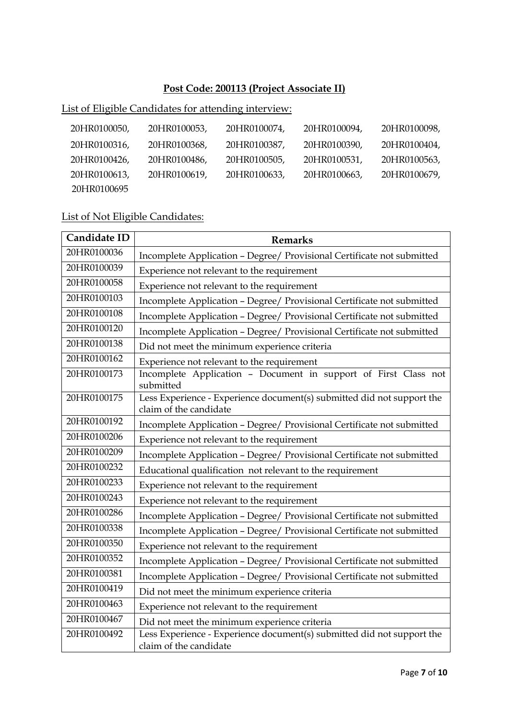### **Post Code: 200113 (Project Associate II)**

# List of Eligible Candidates for attending interview:

| 20HR0100050, | 20HR0100053, | 20HR0100074, | 20HR0100094, | 20HR0100098, |
|--------------|--------------|--------------|--------------|--------------|
| 20HR0100316, | 20HR0100368, | 20HR0100387, | 20HR0100390, | 20HR0100404, |
| 20HR0100426, | 20HR0100486, | 20HR0100505, | 20HR0100531, | 20HR0100563, |
| 20HR0100613, | 20HR0100619, | 20HR0100633, | 20HR0100663, | 20HR0100679, |
| 20HR0100695  |              |              |              |              |

| Candidate ID | <b>Remarks</b>                                                                                   |
|--------------|--------------------------------------------------------------------------------------------------|
| 20HR0100036  | Incomplete Application - Degree/ Provisional Certificate not submitted                           |
| 20HR0100039  | Experience not relevant to the requirement                                                       |
| 20HR0100058  | Experience not relevant to the requirement                                                       |
| 20HR0100103  | Incomplete Application - Degree/ Provisional Certificate not submitted                           |
| 20HR0100108  | Incomplete Application - Degree/ Provisional Certificate not submitted                           |
| 20HR0100120  | Incomplete Application - Degree/ Provisional Certificate not submitted                           |
| 20HR0100138  | Did not meet the minimum experience criteria                                                     |
| 20HR0100162  | Experience not relevant to the requirement                                                       |
| 20HR0100173  | Incomplete Application - Document in support of First Class not<br>submitted                     |
| 20HR0100175  | Less Experience - Experience document(s) submitted did not support the<br>claim of the candidate |
| 20HR0100192  | Incomplete Application - Degree/ Provisional Certificate not submitted                           |
| 20HR0100206  | Experience not relevant to the requirement                                                       |
| 20HR0100209  | Incomplete Application - Degree/ Provisional Certificate not submitted                           |
| 20HR0100232  | Educational qualification not relevant to the requirement                                        |
| 20HR0100233  | Experience not relevant to the requirement                                                       |
| 20HR0100243  | Experience not relevant to the requirement                                                       |
| 20HR0100286  | Incomplete Application - Degree/ Provisional Certificate not submitted                           |
| 20HR0100338  | Incomplete Application - Degree/ Provisional Certificate not submitted                           |
| 20HR0100350  | Experience not relevant to the requirement                                                       |
| 20HR0100352  | Incomplete Application - Degree/ Provisional Certificate not submitted                           |
| 20HR0100381  | Incomplete Application - Degree/ Provisional Certificate not submitted                           |
| 20HR0100419  | Did not meet the minimum experience criteria                                                     |
| 20HR0100463  | Experience not relevant to the requirement                                                       |
| 20HR0100467  | Did not meet the minimum experience criteria                                                     |
| 20HR0100492  | Less Experience - Experience document(s) submitted did not support the<br>claim of the candidate |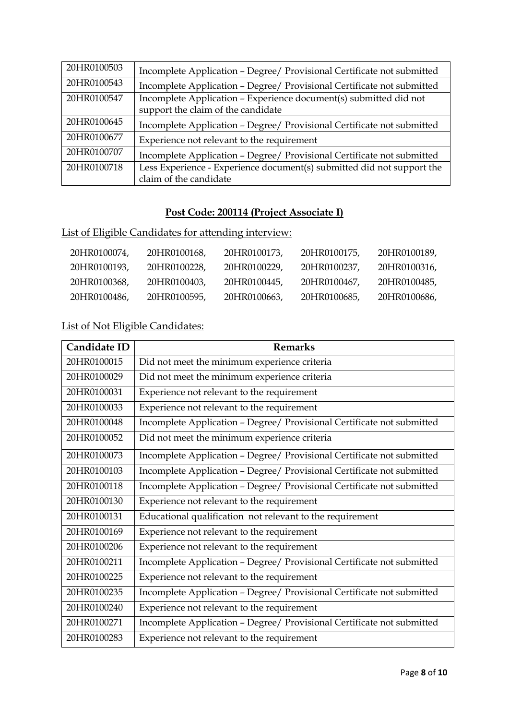| 20HR0100503 | Incomplete Application - Degree/ Provisional Certificate not submitted |
|-------------|------------------------------------------------------------------------|
| 20HR0100543 | Incomplete Application - Degree/ Provisional Certificate not submitted |
| 20HR0100547 | Incomplete Application - Experience document(s) submitted did not      |
|             | support the claim of the candidate                                     |
| 20HR0100645 | Incomplete Application - Degree/ Provisional Certificate not submitted |
| 20HR0100677 | Experience not relevant to the requirement                             |
| 20HR0100707 | Incomplete Application - Degree/ Provisional Certificate not submitted |
| 20HR0100718 | Less Experience - Experience document(s) submitted did not support the |
|             | claim of the candidate                                                 |

## **Post Code: 200114 (Project Associate I)**

## List of Eligible Candidates for attending interview:

| 20HR0100074. | 20HR0100168. | 20HR0100173. | 20HR0100175, | 20HR0100189. |
|--------------|--------------|--------------|--------------|--------------|
| 20HR0100193. | 20HR0100228. | 20HR0100229. | 20HR0100237. | 20HR0100316. |
| 20HR0100368. | 20HR0100403. | 20HR0100445, | 20HR0100467. | 20HR0100485. |
| 20HR0100486. | 20HR0100595, | 20HR0100663. | 20HR0100685. | 20HR0100686. |

| Candidate ID | <b>Remarks</b>                                                         |
|--------------|------------------------------------------------------------------------|
| 20HR0100015  | Did not meet the minimum experience criteria                           |
| 20HR0100029  | Did not meet the minimum experience criteria                           |
| 20HR0100031  | Experience not relevant to the requirement                             |
| 20HR0100033  | Experience not relevant to the requirement                             |
| 20HR0100048  | Incomplete Application - Degree/ Provisional Certificate not submitted |
| 20HR0100052  | Did not meet the minimum experience criteria                           |
| 20HR0100073  | Incomplete Application - Degree/ Provisional Certificate not submitted |
| 20HR0100103  | Incomplete Application - Degree/ Provisional Certificate not submitted |
| 20HR0100118  | Incomplete Application - Degree/ Provisional Certificate not submitted |
| 20HR0100130  | Experience not relevant to the requirement                             |
| 20HR0100131  | Educational qualification not relevant to the requirement              |
| 20HR0100169  | Experience not relevant to the requirement                             |
| 20HR0100206  | Experience not relevant to the requirement                             |
| 20HR0100211  | Incomplete Application - Degree/ Provisional Certificate not submitted |
| 20HR0100225  | Experience not relevant to the requirement                             |
| 20HR0100235  | Incomplete Application - Degree/ Provisional Certificate not submitted |
| 20HR0100240  | Experience not relevant to the requirement                             |
| 20HR0100271  | Incomplete Application - Degree/ Provisional Certificate not submitted |
| 20HR0100283  | Experience not relevant to the requirement                             |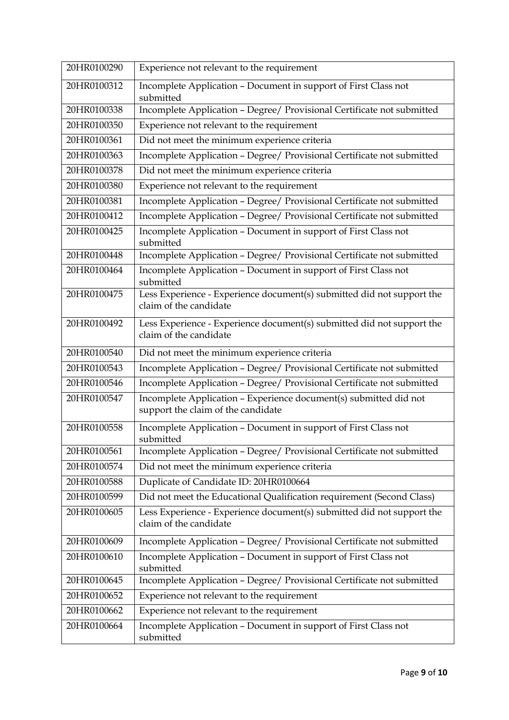| 20HR0100290 | Experience not relevant to the requirement                                                              |  |
|-------------|---------------------------------------------------------------------------------------------------------|--|
| 20HR0100312 | Incomplete Application - Document in support of First Class not<br>submitted                            |  |
| 20HR0100338 | Incomplete Application - Degree/ Provisional Certificate not submitted                                  |  |
| 20HR0100350 | Experience not relevant to the requirement                                                              |  |
| 20HR0100361 | Did not meet the minimum experience criteria                                                            |  |
| 20HR0100363 | Incomplete Application - Degree/ Provisional Certificate not submitted                                  |  |
| 20HR0100378 | Did not meet the minimum experience criteria                                                            |  |
| 20HR0100380 | Experience not relevant to the requirement                                                              |  |
| 20HR0100381 | Incomplete Application - Degree/ Provisional Certificate not submitted                                  |  |
| 20HR0100412 | Incomplete Application - Degree/ Provisional Certificate not submitted                                  |  |
| 20HR0100425 | Incomplete Application - Document in support of First Class not<br>submitted                            |  |
| 20HR0100448 | Incomplete Application - Degree/ Provisional Certificate not submitted                                  |  |
| 20HR0100464 | Incomplete Application - Document in support of First Class not<br>submitted                            |  |
| 20HR0100475 | Less Experience - Experience document(s) submitted did not support the<br>claim of the candidate        |  |
| 20HR0100492 | Less Experience - Experience document(s) submitted did not support the<br>claim of the candidate        |  |
| 20HR0100540 | Did not meet the minimum experience criteria                                                            |  |
| 20HR0100543 | Incomplete Application - Degree/ Provisional Certificate not submitted                                  |  |
| 20HR0100546 | Incomplete Application - Degree/ Provisional Certificate not submitted                                  |  |
| 20HR0100547 | Incomplete Application - Experience document(s) submitted did not<br>support the claim of the candidate |  |
| 20HR0100558 | Incomplete Application - Document in support of First Class not<br>submitted                            |  |
| 20HR0100561 | Incomplete Application - Degree/ Provisional Certificate not submitted                                  |  |
| 20HR0100574 | Did not meet the minimum experience criteria                                                            |  |
| 20HR0100588 | Duplicate of Candidate ID: 20HR0100664                                                                  |  |
| 20HR0100599 | Did not meet the Educational Qualification requirement (Second Class)                                   |  |
| 20HR0100605 | Less Experience - Experience document(s) submitted did not support the<br>claim of the candidate        |  |
| 20HR0100609 | Incomplete Application - Degree/ Provisional Certificate not submitted                                  |  |
| 20HR0100610 | Incomplete Application - Document in support of First Class not<br>submitted                            |  |
| 20HR0100645 | Incomplete Application - Degree/ Provisional Certificate not submitted                                  |  |
| 20HR0100652 | Experience not relevant to the requirement                                                              |  |
| 20HR0100662 | Experience not relevant to the requirement                                                              |  |
| 20HR0100664 | Incomplete Application - Document in support of First Class not<br>submitted                            |  |